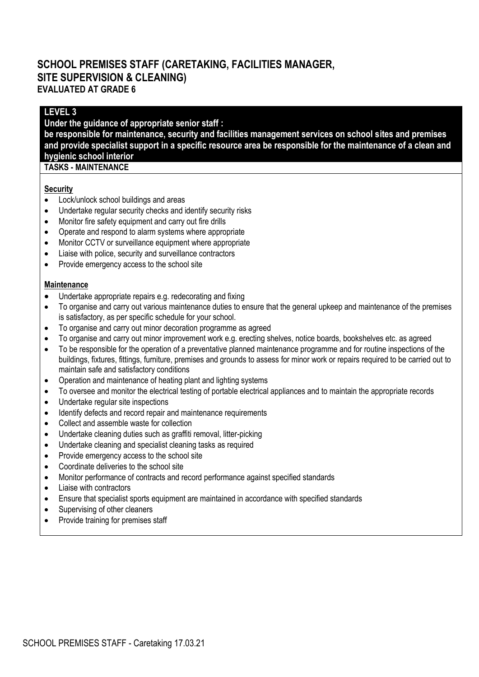# **SCHOOL PREMISES STAFF (CARETAKING, FACILITIES MANAGER, SITE SUPERVISION & CLEANING) EVALUATED AT GRADE 6**

## **LEVEL 3**

**Under the guidance of appropriate senior staff : be responsible for maintenance, security and facilities management services on school sites and premises and provide specialist support in a specific resource area be responsible for the maintenance of a clean and hygienic school interior**

## **TASKS - MAINTENANCE**

#### **Security**

- Lock/unlock school buildings and areas
- Undertake regular security checks and identify security risks
- Monitor fire safety equipment and carry out fire drills
- Operate and respond to alarm systems where appropriate
- Monitor CCTV or surveillance equipment where appropriate
- Liaise with police, security and surveillance contractors
- Provide emergency access to the school site

#### **Maintenance**

- Undertake appropriate repairs e.g. redecorating and fixing
- To organise and carry out various maintenance duties to ensure that the general upkeep and maintenance of the premises is satisfactory, as per specific schedule for your school.
- To organise and carry out minor decoration programme as agreed
- To organise and carry out minor improvement work e.g. erecting shelves, notice boards, bookshelves etc. as agreed
- To be responsible for the operation of a preventative planned maintenance programme and for routine inspections of the buildings, fixtures, fittings, furniture, premises and grounds to assess for minor work or repairs required to be carried out to maintain safe and satisfactory conditions
- Operation and maintenance of heating plant and lighting systems
- To oversee and monitor the electrical testing of portable electrical appliances and to maintain the appropriate records
- Undertake regular site inspections
- Identify defects and record repair and maintenance requirements
- Collect and assemble waste for collection
- Undertake cleaning duties such as graffiti removal, litter-picking
- Undertake cleaning and specialist cleaning tasks as required
- Provide emergency access to the school site
- Coordinate deliveries to the school site
- Monitor performance of contracts and record performance against specified standards
- Liaise with contractors
- Ensure that specialist sports equipment are maintained in accordance with specified standards
- Supervising of other cleaners
- Provide training for premises staff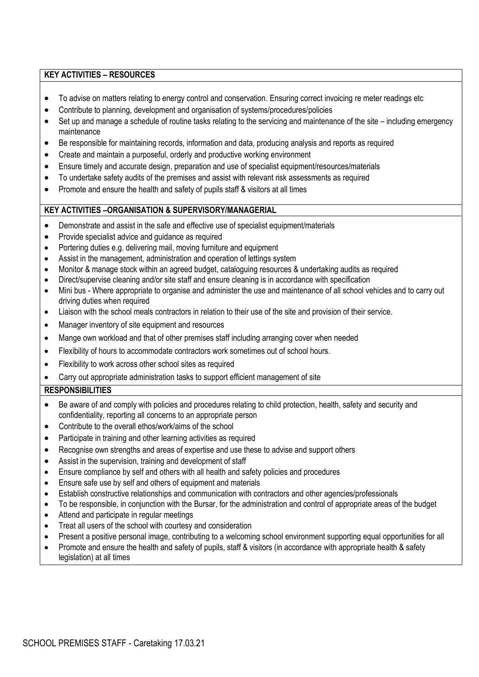#### **KEY ACTIVITIES – RESOURCES**

- To advise on matters relating to energy control and conservation. Ensuring correct invoicing re meter readings etc
- Contribute to planning, development and organisation of systems/procedures/policies
- Set up and manage a schedule of routine tasks relating to the servicing and maintenance of the site including emergency maintenance
- Be responsible for maintaining records, information and data, producing analysis and reports as required
- Create and maintain a purposeful, orderly and productive working environment
- Ensure timely and accurate design, preparation and use of specialist equipment/resources/materials
- To undertake safety audits of the premises and assist with relevant risk assessments as required
- Promote and ensure the health and safety of pupils staff & visitors at all times

#### **KEY ACTIVITIES –ORGANISATION & SUPERVISORY/MANAGERIAL**

- Demonstrate and assist in the safe and effective use of specialist equipment/materials
- Provide specialist advice and guidance as required
- Portering duties e.g. delivering mail, moving furniture and equipment
- Assist in the management, administration and operation of lettings system
- Monitor & manage stock within an agreed budget, cataloguing resources & undertaking audits as required
- Direct/supervise cleaning and/or site staff and ensure cleaning is in accordance with specification
- Mini bus Where appropriate to organise and administer the use and maintenance of all school vehicles and to carry out driving duties when required
- Liaison with the school meals contractors in relation to their use of the site and provision of their service.
- Manager inventory of site equipment and resources
- Mange own workload and that of other premises staff including arranging cover when needed
- Flexibility of hours to accommodate contractors work sometimes out of school hours.
- Flexibility to work across other school sites as required
- Carry out appropriate administration tasks to support efficient management of site

### **RESPONSIBILITIES**

- Be aware of and comply with policies and procedures relating to child protection, health, safety and security and confidentiality, reporting all concerns to an appropriate person
- Contribute to the overall ethos/work/aims of the school
- Participate in training and other learning activities as required
- Recognise own strengths and areas of expertise and use these to advise and support others
- Assist in the supervision, training and development of staff
- Ensure compliance by self and others with all health and safety policies and procedures
- Ensure safe use by self and others of equipment and materials
- Establish constructive relationships and communication with contractors and other agencies/professionals
- To be responsible, in conjunction with the Bursar, for the administration and control of appropriate areas of the budget
- Attend and participate in regular meetings
- Treat all users of the school with courtesy and consideration
- Present a positive personal image, contributing to a welcoming school environment supporting equal opportunities for all
- Promote and ensure the health and safety of pupils, staff & visitors (in accordance with appropriate health & safety legislation) at all times